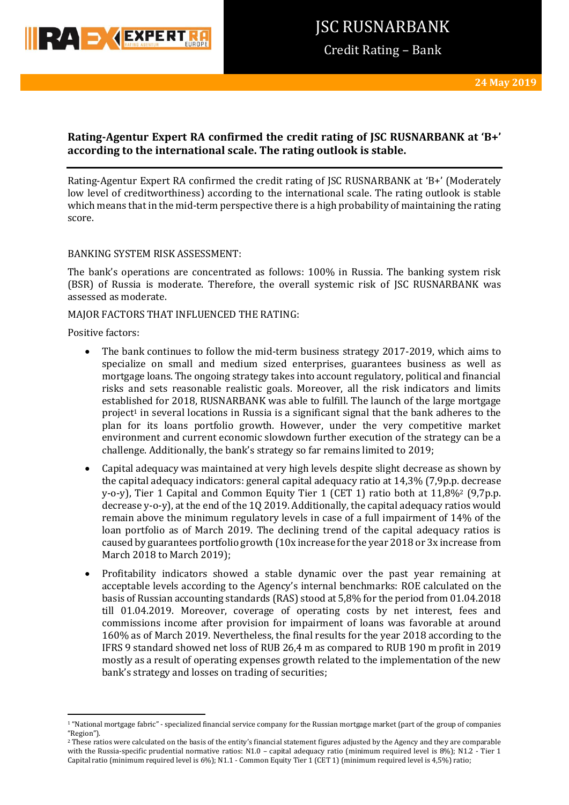

Credit Rating – Bank

# **Rating-Agentur Expert RA confirmed the credit rating of JSC RUSNARBANK at 'B+' according to the international scale. The rating outlook is stable.**

Rating-Agentur Expert RA confirmed the credit rating of JSC RUSNARBANK at 'B+' (Moderately low level of creditworthiness) according to the international scale. The rating outlook is stable which means that in the mid-term perspective there is a high probability of maintaining the rating score.

## BANKING SYSTEM RISK ASSESSMENT:

The bank's operations are concentrated as follows: 100% in Russia. The banking system risk (BSR) of Russia is moderate. Therefore, the overall systemic risk of JSC RUSNARBANK was assessed as moderate.

# MAJOR FACTORS THAT INFLUENCED THE RATING:

Positive factors:

**.** 

- The bank continues to follow the mid-term business strategy 2017-2019, which aims to specialize on small and medium sized enterprises, guarantees business as well as mortgage loans. The ongoing strategy takes into account regulatory, political and financial risks and sets reasonable realistic goals. Moreover, all the risk indicators and limits established for 2018, RUSNARBANK was able to fulfill. The launch of the large mortgage project<sup>1</sup> in several locations in Russia is a significant signal that the bank adheres to the plan for its loans portfolio growth. However, under the very competitive market environment and current economic slowdown further execution of the strategy can be a challenge. Additionally, the bank's strategy so far remains limited to 2019;
- Capital adequacy was maintained at very high levels despite slight decrease as shown by the capital adequacy indicators: general capital adequacy ratio at 14,3% (7,9p.p. decrease y-o-y), Tier 1 Capital and Common Equity Tier 1 (CET 1) ratio both at 11,8%<sup>2</sup> (9,7p.p. decrease y-o-y), at the end of the 1Q 2019. Additionally, the capital adequacy ratios would remain above the minimum regulatory levels in case of a full impairment of 14% of the loan portfolio as of March 2019. The declining trend of the capital adequacy ratios is caused by guarantees portfolio growth (10x increase for the year 2018 or 3x increase from March 2018 to March 2019);
- Profitability indicators showed a stable dynamic over the past year remaining at acceptable levels according to the Agency's internal benchmarks: ROE calculated on the basis of Russian accounting standards (RAS) stood at 5,8% for the period from 01.04.2018 till 01.04.2019. Moreover, coverage of operating costs by net interest, fees and commissions income after provision for impairment of loans was favorable at around 160% as of March 2019. Nevertheless, the final results for the year 2018 according to the IFRS 9 standard showed net loss of RUB 26,4 m as compared to RUB 190 m profit in 2019 mostly as a result of operating expenses growth related to the implementation of the new bank's strategy and losses on trading of securities;

<sup>&</sup>lt;sup>1</sup> "National mortgage fabric" - specialized financial service company for the Russian mortgage market (part of the group of companies "Region").

<sup>&</sup>lt;sup>2</sup> These ratios were calculated on the basis of the entity's financial statement figures adjusted by the Agency and they are comparable with the Russia-specific prudential normative ratios: N1.0 – capital adequacy ratio (minimum required level is 8%); N1.2 - Tier 1 Capital ratio (minimum required level is 6%); N1.1 - Common Equity Tier 1 (CET 1) (minimum required level is 4,5%) ratio;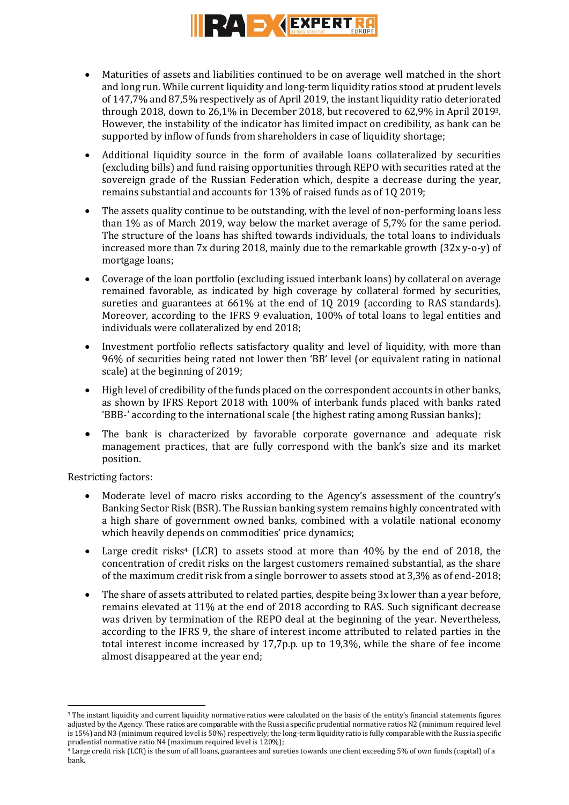

- Maturities of assets and liabilities continued to be on average well matched in the short and long run. While current liquidity and long-term liquidity ratios stood at prudent levels of 147,7% and 87,5% respectively as of April 2019, the instant liquidity ratio deteriorated through 2018, down to 26,1% in December 2018, but recovered to 62,9% in April 20193. However, the instability of the indicator has limited impact on credibility, as bank can be supported by inflow of funds from shareholders in case of liquidity shortage;
- Additional liquidity source in the form of available loans collateralized by securities (excluding bills) and fund raising opportunities through REPO with securities rated at the sovereign grade of the Russian Federation which, despite a decrease during the year, remains substantial and accounts for 13% of raised funds as of 1Q 2019;
- The assets quality continue to be outstanding, with the level of non-performing loans less than 1% as of March 2019, way below the market average of 5,7% for the same period. The structure of the loans has shifted towards individuals, the total loans to individuals increased more than 7x during 2018, mainly due to the remarkable growth (32x y-o-y) of mortgage loans;
- Coverage of the loan portfolio (excluding issued interbank loans) by collateral on average remained favorable, as indicated by high coverage by collateral formed by securities, sureties and guarantees at 661% at the end of 1Q 2019 (according to RAS standards). Moreover, according to the IFRS 9 evaluation, 100% of total loans to legal entities and individuals were collateralized by end 2018;
- Investment portfolio reflects satisfactory quality and level of liquidity, with more than 96% of securities being rated not lower then 'BB' level (or equivalent rating in national scale) at the beginning of 2019;
- High level of credibility of the funds placed on the correspondent accounts in other banks, as shown by IFRS Report 2018 with 100% of interbank funds placed with banks rated 'BBB-' according to the international scale (the highest rating among Russian banks);
- The bank is characterized by favorable corporate governance and adequate risk management practices, that are fully correspond with the bank's size and its market position.

Restricting factors:

**.** 

- Moderate level of macro risks according to the Agency's assessment of the country's Banking Sector Risk (BSR). The Russian banking system remains highly concentrated with a high share of government owned banks, combined with a volatile national economy which heavily depends on commodities' price dynamics;
- Large credit risks<sup>4</sup> (LCR) to assets stood at more than  $40\%$  by the end of 2018, the concentration of credit risks on the largest customers remained substantial, as the share of the maximum credit risk from a single borrower to assets stood at 3,3% as of end-2018;
- The share of assets attributed to related parties, despite being 3x lower than a year before, remains elevated at 11% at the end of 2018 according to RAS. Such significant decrease was driven by termination of the REPO deal at the beginning of the year. Nevertheless, according to the IFRS 9, the share of interest income attributed to related parties in the total interest income increased by 17,7p.p. up to 19,3%, while the share of fee income almost disappeared at the year end;

<sup>&</sup>lt;sup>3</sup> The instant liquidity and current liquidity normative ratios were calculated on the basis of the entity's financial statements figures adjusted by the Agency. These ratios are comparable with the Russia specific prudential normative ratios N2 (minimum required level is 15%) and N3 (minimum required level is 50%) respectively; the long-term liquidity ratio is fully comparable with the Russia specific prudential normative ratio N4 (maximum required level is 120%);

 $^4$  Large credit risk (LCR) is the sum of all loans, guarantees and sureties towards one client exceeding 5% of own funds (capital) of a bank.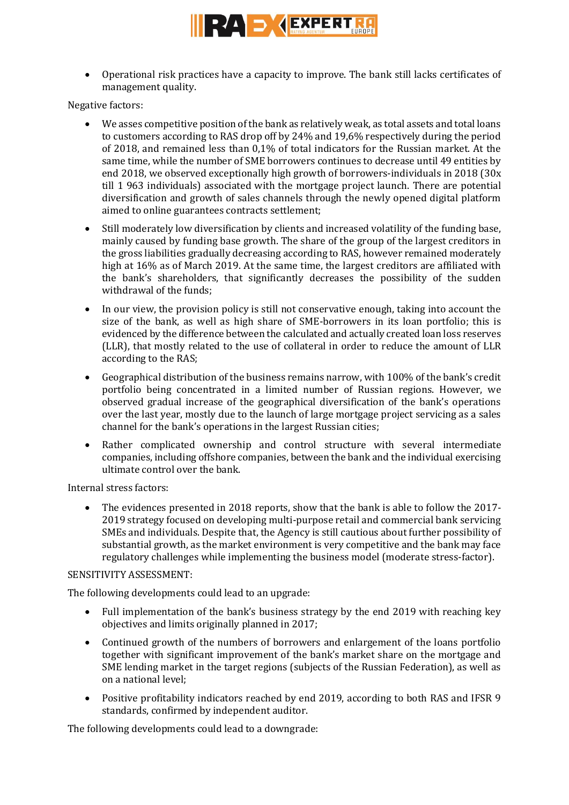

 Operational risk practices have a capacity to improve. The bank still lacks certificates of management quality.

Negative factors:

- We asses competitive position of the bank as relatively weak, as total assets and total loans to customers according to RAS drop off by 24% and 19,6% respectively during the period of 2018, and remained less than 0,1% of total indicators for the Russian market. At the same time, while the number of SME borrowers continues to decrease until 49 entities by end 2018, we observed exceptionally high growth of borrowers-individuals in 2018 (30x till 1 963 individuals) associated with the mortgage project launch. There are potential diversification and growth of sales channels through the newly opened digital platform aimed to online guarantees contracts settlement;
- Still moderately low diversification by clients and increased volatility of the funding base, mainly caused by funding base growth. The share of the group of the largest creditors in the gross liabilities gradually decreasing according to RAS, however remained moderately high at 16% as of March 2019. At the same time, the largest creditors are affiliated with the bank's shareholders, that significantly decreases the possibility of the sudden withdrawal of the funds;
- In our view, the provision policy is still not conservative enough, taking into account the size of the bank, as well as high share of SME-borrowers in its loan portfolio; this is evidenced by the difference between the calculated and actually created loan loss reserves (LLR), that mostly related to the use of collateral in order to reduce the amount of LLR according to the RAS;
- Geographical distribution of the business remains narrow, with 100% of the bank's credit portfolio being concentrated in a limited number of Russian regions. However, we observed gradual increase of the geographical diversification of the bank's operations over the last year, mostly due to the launch of large mortgage project servicing as a sales channel for the bank's operations in the largest Russian cities;
- Rather complicated ownership and control structure with several intermediate companies, including offshore companies, between the bank and the individual exercising ultimate control over the bank.

Internal stress factors:

 The evidences presented in 2018 reports, show that the bank is able to follow the 2017- 2019 strategy focused on developing multi-purpose retail and commercial bank servicing SMEs and individuals. Despite that, the Agency is still cautious about further possibility of substantial growth, as the market environment is very competitive and the bank may face regulatory challenges while implementing the business model (moderate stress-factor).

## SENSITIVITY ASSESSMENT:

The following developments could lead to an upgrade:

- Full implementation of the bank's business strategy by the end 2019 with reaching key objectives and limits originally planned in 2017;
- Continued growth of the numbers of borrowers and enlargement of the loans portfolio together with significant improvement of the bank's market share on the mortgage and SME lending market in the target regions (subjects of the Russian Federation), as well as on a national level;
- Positive profitability indicators reached by end 2019, according to both RAS and IFSR 9 standards, confirmed by independent auditor.

The following developments could lead to a downgrade: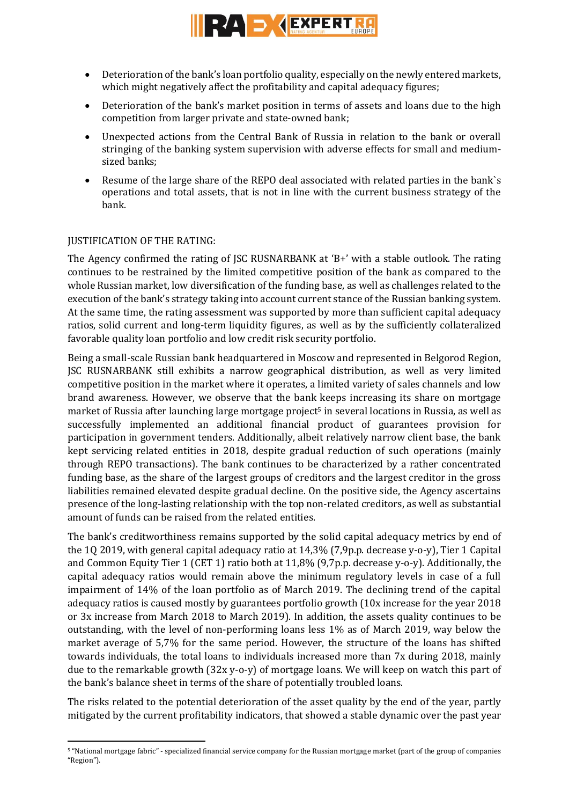

- Deterioration of the bank's loan portfolio quality, especially on the newly entered markets, which might negatively affect the profitability and capital adequacy figures;
- Deterioration of the bank's market position in terms of assets and loans due to the high competition from larger private and state-owned bank;
- Unexpected actions from the Central Bank of Russia in relation to the bank or overall stringing of the banking system supervision with adverse effects for small and mediumsized banks;
- Resume of the large share of the REPO deal associated with related parties in the bank's operations and total assets, that is not in line with the current business strategy of the bank.

# JUSTIFICATION OF THE RATING:

The Agency confirmed the rating of JSC RUSNARBANK at 'B+' with a stable outlook. The rating continues to be restrained by the limited competitive position of the bank as compared to the whole Russian market, low diversification of the funding base, as well as challenges related to the execution of the bank's strategy taking into account current stance of the Russian banking system. At the same time, the rating assessment was supported by more than sufficient capital adequacy ratios, solid current and long-term liquidity figures, as well as by the sufficiently collateralized favorable quality loan portfolio and low credit risk security portfolio.

Being a small-scale Russian bank headquartered in Moscow and represented in Belgorod Region, JSC RUSNARBANK still exhibits a narrow geographical distribution, as well as very limited competitive position in the market where it operates, a limited variety of sales channels and low brand awareness. However, we observe that the bank keeps increasing its share on mortgage market of Russia after launching large mortgage project<sup>5</sup> in several locations in Russia, as well as successfully implemented an additional financial product of guarantees provision for participation in government tenders. Additionally, albeit relatively narrow client base, the bank kept servicing related entities in 2018, despite gradual reduction of such operations (mainly through REPO transactions). The bank continues to be characterized by a rather concentrated funding base, as the share of the largest groups of creditors and the largest creditor in the gross liabilities remained elevated despite gradual decline. On the positive side, the Agency ascertains presence of the long-lasting relationship with the top non-related creditors, as well as substantial amount of funds can be raised from the related entities.

The bank's creditworthiness remains supported by the solid capital adequacy metrics by end of the 1Q 2019, with general capital adequacy ratio at 14,3% (7,9p.p. decrease y-o-y), Tier 1 Capital and Common Equity Tier 1 (CET 1) ratio both at 11,8% (9,7p.p. decrease y-o-y). Additionally, the capital adequacy ratios would remain above the minimum regulatory levels in case of a full impairment of 14% of the loan portfolio as of March 2019. The declining trend of the capital adequacy ratios is caused mostly by guarantees portfolio growth (10x increase for the year 2018 or 3x increase from March 2018 to March 2019). In addition, the assets quality continues to be outstanding, with the level of non-performing loans less 1% as of March 2019, way below the market average of 5,7% for the same period. However, the structure of the loans has shifted towards individuals, the total loans to individuals increased more than 7x during 2018, mainly due to the remarkable growth (32x y-o-y) of mortgage loans. We will keep on watch this part of the bank's balance sheet in terms of the share of potentially troubled loans.

The risks related to the potential deterioration of the asset quality by the end of the year, partly mitigated by the current profitability indicators, that showed a stable dynamic over the past year

**<sup>.</sup>** <sup>5</sup> "National mortgage fabric" - specialized financial service company for the Russian mortgage market (part of the group of companies "Region").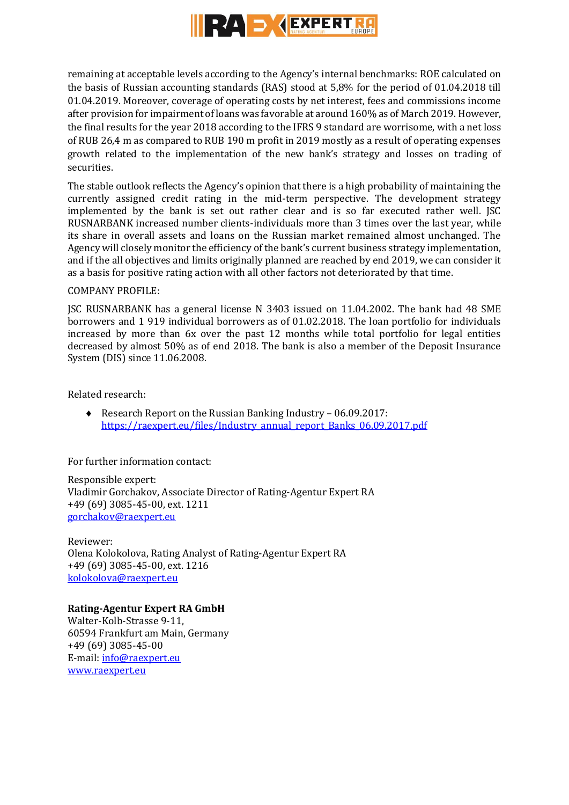

remaining at acceptable levels according to the Agency's internal benchmarks: ROE calculated on the basis of Russian accounting standards (RAS) stood at 5,8% for the period of 01.04.2018 till 01.04.2019. Moreover, coverage of operating costs by net interest, fees and commissions income after provision for impairment of loans was favorable at around 160% as of March 2019. However, the final results for the year 2018 according to the IFRS 9 standard are worrisome, with a net loss of RUB 26,4 m as compared to RUB 190 m profit in 2019 mostly as a result of operating expenses growth related to the implementation of the new bank's strategy and losses on trading of securities.

The stable outlook reflects the Agency's opinion that there is a high probability of maintaining the currently assigned credit rating in the mid-term perspective. The development strategy implemented by the bank is set out rather clear and is so far executed rather well. JSC RUSNARBANK increased number clients-individuals more than 3 times over the last year, while its share in overall assets and loans on the Russian market remained almost unchanged. The Agency will closely monitor the efficiency of the bank's current business strategy implementation, and if the all objectives and limits originally planned are reached by end 2019, we can consider it as a basis for positive rating action with all other factors not deteriorated by that time.

# COMPANY PROFILE:

JSC RUSNARBANK has a general license N 3403 issued on 11.04.2002. The bank had 48 SME borrowers and 1 919 individual borrowers as of 01.02.2018. The loan portfolio for individuals increased by more than 6x over the past 12 months while total portfolio for legal entities decreased by almost 50% as of end 2018. The bank is also a member of the Deposit Insurance System (DIS) since 11.06.2008.

Related research:

Research Report on the Russian Banking Industry  $-06.09.2017$ : [https://raexpert.eu/files/Industry\\_annual\\_report\\_Banks\\_06.09.2017.pdf](https://raexpert.eu/files/Industry_annual_report_Banks_06.09.2017.pdf)

For further information contact:

Responsible expert: Vladimir Gorchakov, Associate Director of Rating-Agentur Expert RA +49 (69) 3085-45-00, ext. 1211 [gorchakov@raexpert.eu](mailto:gorchakov@raexpert.eu)

Reviewer: Olena Kolokolova, Rating Analyst of Rating-Agentur Expert RA +49 (69) 3085-45-00, ext. 1216 [kolokolova@raexpert.eu](mailto:kolokolova@raexpert.eu)

# **Rating-Agentur Expert RA GmbH**

Walter-Kolb-Strasse 9-11, 60594 Frankfurt am Main, Germany +49 (69) 3085-45-00 E-mail[: info@raexpert.eu](mailto:info@raexpert.eu) [www.raexpert.eu](http://raexpert.eu/)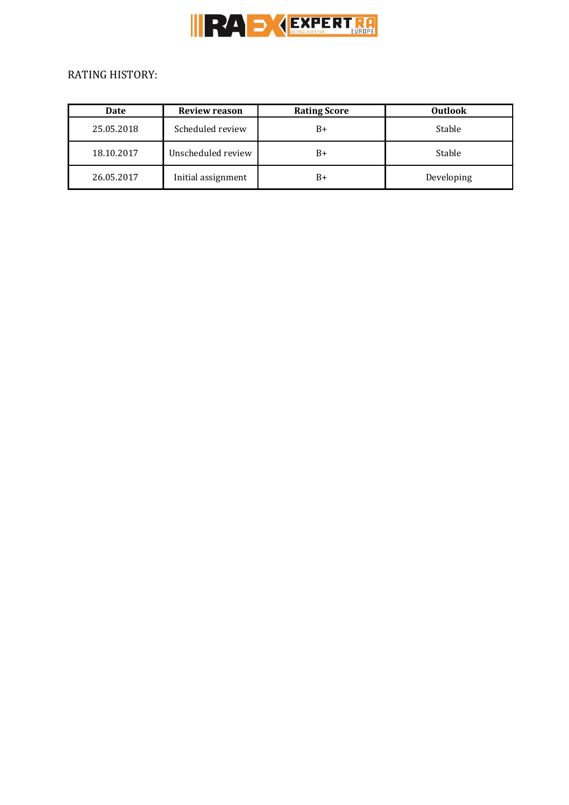

# RATING HISTORY:

| Date       | <b>Review reason</b> | <b>Rating Score</b> | <b>Outlook</b> |
|------------|----------------------|---------------------|----------------|
| 25.05.2018 | Scheduled review     | $B+$                | Stable         |
| 18.10.2017 | Unscheduled review   | B+                  | Stable         |
| 26.05.2017 | Initial assignment   | B+                  | Developing     |